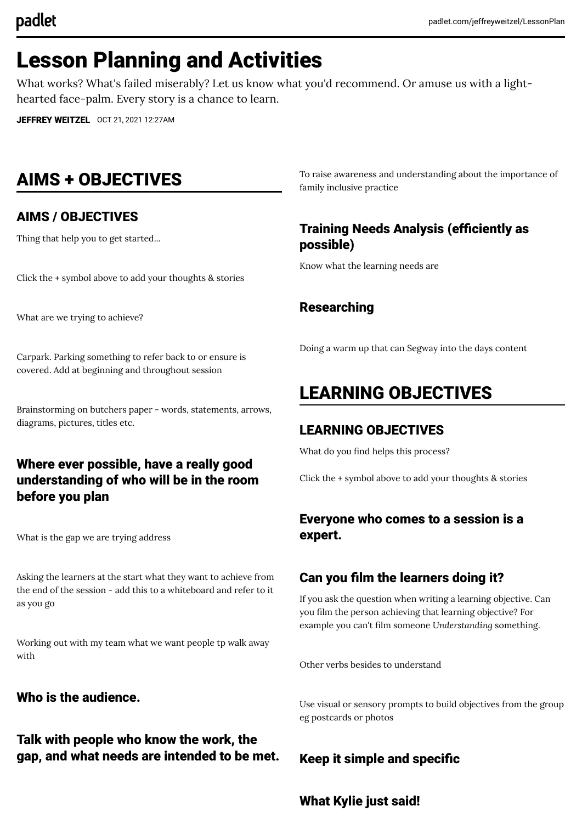# Lesson Planning and Activities

What works? What's failed miserably? Let us know what you'd recommend. Or amuse us with a lighthearted face-palm. Every story is a chance to learn.

[JEFFREY WEITZEL](https://padlet.com/jeffreyweitzel) OCT 21, 2021 12:27AM

## AIMS + OBJECTIVES

## AIMS / OBJECTIVES

Thing that help you to get started...

Click the + symbol above to add your thoughts & stories

What are we trying to achieve?

Carpark. Parking something to refer back to or ensure is covered. Add at beginning and throughout session

Brainstorming on butchers paper - words, statements, arrows, diagrams, pictures, titles etc.

## Where ever possible, have a really good understanding of who will be in the room before you plan

What is the gap we are trying address

Asking the learners at the start what they want to achieve from the end of the session - add this to a whiteboard and refer to it as you go

Working out with my team what we want people tp walk away with

#### Who is the audience.

Talk with people who know the work, the gap, and what needs are intended to be met. To raise awareness and understanding about the importance of family inclusive practice

## Training Needs Analysis (efficiently as possible)

Know what the learning needs are

## Researching

Doing a warm up that can Segway into the days content

## LEARNING OBJECTIVES

## LEARNING OBJECTIVES

What do you find helps this process?

Click the + symbol above to add your thoughts & stories

## Everyone who comes to a session is a expert.

## Can you film the learners doing it?

If you ask the question when writing a learning objective. Can you film the person achieving that learning objective? For example you can't film someone *Understanding* something.

Other verbs besides to understand

Use visual or sensory prompts to build objectives from the group eg postcards or photos

## Keep it simple and specific

## What Kylie just said!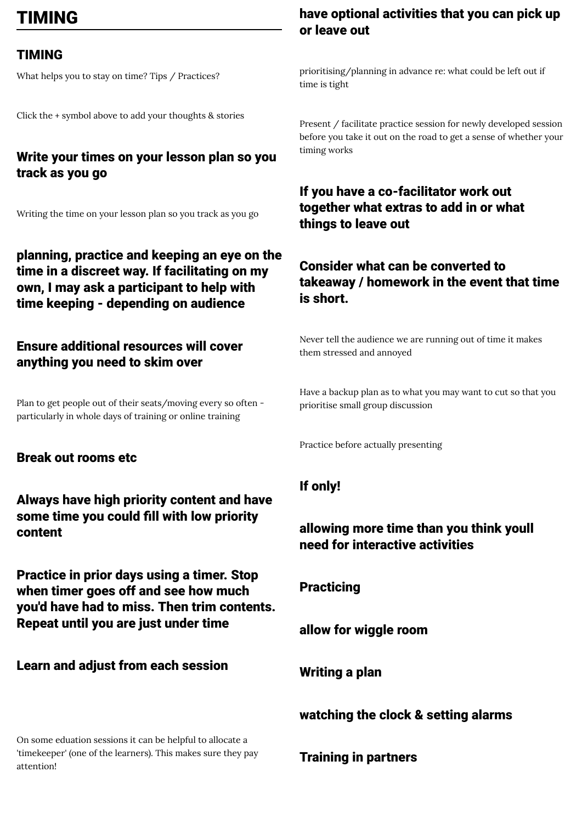## TIMING

## TIMING

What helps you to stay on time? Tips / Practices?

Click the + symbol above to add your thoughts & stories

## Write your times on your lesson plan so you track as you go

Writing the time on your lesson plan so you track as you go

planning, practice and keeping an eye on the time in a discreet way. If facilitating on my own, I may ask a participant to help with time keeping - depending on audience

### Ensure additional resources will cover anything you need to skim over

Plan to get people out of their seats/moving every so often particularly in whole days of training or online training

## Break out rooms etc

Always have high priority content and have some time you could fill with low priority content

Practice in prior days using a timer. Stop when timer goes off and see how much you'd have had to miss. Then trim contents. Repeat until you are just under time

## Learn and adjust from each session

On some eduation sessions it can be helpful to allocate a 'timekeeper' (one of the learners). This makes sure they pay attention!

## have optional activities that you can pick up or leave out

prioritising/planning in advance re: what could be left out if time is tight

Present / facilitate practice session for newly developed session before you take it out on the road to get a sense of whether your timing works

## If you have a co-facilitator work out together what extras to add in or what things to leave out

## Consider what can be converted to takeaway / homework in the event that time is short.

Never tell the audience we are running out of time it makes them stressed and annoyed

Have a backup plan as to what you may want to cut so that you prioritise small group discussion

Practice before actually presenting

## If only!

## allowing more time than you think youll need for interactive activities

#### **Practicing**

allow for wiggle room

## Writing a plan

watching the clock & setting alarms

Training in partners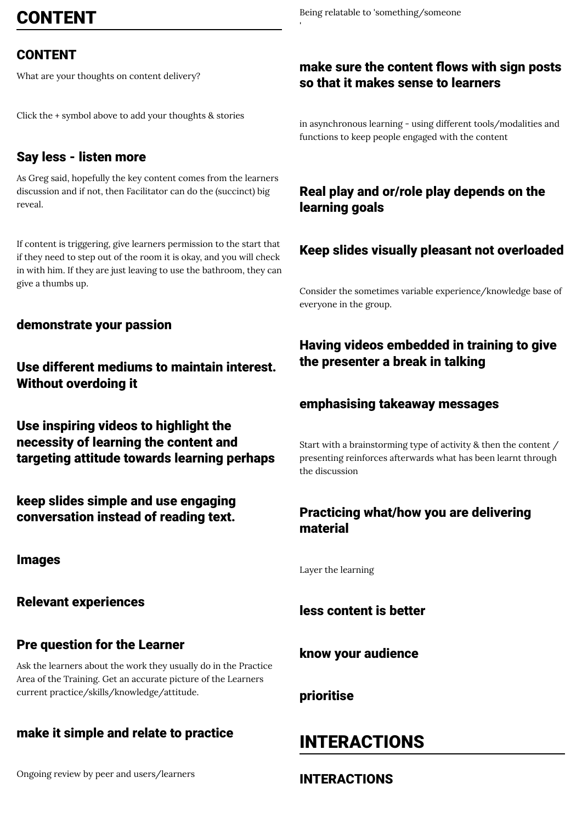## CONTENT

## CONTENT

What are your thoughts on content delivery?

Click the + symbol above to add your thoughts & stories

#### Say less - listen more

As Greg said, hopefully the key content comes from the learners discussion and if not, then Facilitator can do the (succinct) big reveal.

If content is triggering, give learners permission to the start that if they need to step out of the room it is okay, and you will check in with him. If they are just leaving to use the bathroom, they can give a thumbs up.

#### demonstrate your passion

Use different mediums to maintain interest. Without overdoing it

Use inspiring videos to highlight the necessity of learning the content and targeting attitude towards learning perhaps

keep slides simple and use engaging conversation instead of reading text.

Images

#### Relevant experiences

#### Pre question for the Learner

Ask the learners about the work they usually do in the Practice Area of the Training. Get an accurate picture of the Learners current practice/skills/knowledge/attitude.

## make it simple and relate to practice

Being relatable to 'something/someone

'

#### make sure the content flows with sign posts so that it makes sense to learners

in asynchronous learning - using different tools/modalities and functions to keep people engaged with the content

## Real play and or/role play depends on the learning goals

#### Keep slides visually pleasant not overloaded

Consider the sometimes variable experience/knowledge base of everyone in the group.

## Having videos embedded in training to give the presenter a break in talking

#### emphasising takeaway messages

Start with a brainstorming type of activity & then the content / presenting reinforces afterwards what has been learnt through the discussion

## Practicing what/how you are delivering material

Layer the learning

#### less content is better

know your audience

prioritise

## INTERACTIONS

INTERACTIONS

Ongoing review by peer and users/learners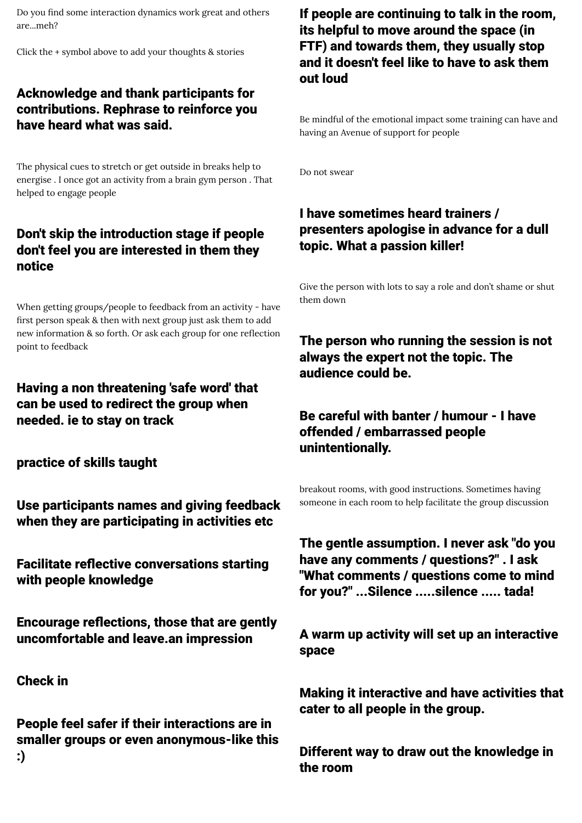Do you find some interaction dynamics work great and others are meh?

Click the + symbol above to add your thoughts & stories

## Acknowledge and thank participants for contributions. Rephrase to reinforce you have heard what was said.

The physical cues to stretch or get outside in breaks help to energise . I once got an activity from a brain gym person . That helped to engage people

## Don't skip the introduction stage if people don't feel you are interested in them they notice

When getting groups/people to feedback from an activity - have first person speak & then with next group just ask them to add new information & so forth. Or ask each group for one reflection point to feedback

Having a non threatening 'safe word' that can be used to redirect the group when needed. ie to stay on track

practice of skills taught

Use participants names and giving feedback when they are participating in activities etc

Facilitate reflective conversations starting with people knowledge

Encourage reflections, those that are gently uncomfortable and leave.an impression

Check in

People feel safer if their interactions are in smaller groups or even anonymous-like this :)

### If people are continuing to talk in the room, its helpful to move around the space (in FTF) and towards them, they usually stop and it doesn't feel like to have to ask them out loud

Be mindful of the emotional impact some training can have and having an Avenue of support for people

Do not swear

## I have sometimes heard trainers / presenters apologise in advance for a dull topic. What a passion killer!

Give the person with lots to say a role and don't shame or shut them down

The person who running the session is not always the expert not the topic. The audience could be.

## Be careful with banter / humour - I have offended / embarrassed people unintentionally.

breakout rooms, with good instructions. Sometimes having someone in each room to help facilitate the group discussion

The gentle assumption. I never ask "do you have any comments / questions?" . I ask "What comments / questions come to mind for you?" ...Silence .....silence ..... tada!

A warm up activity will set up an interactive space

Making it interactive and have activities that cater to all people in the group.

Different way to draw out the knowledge in the room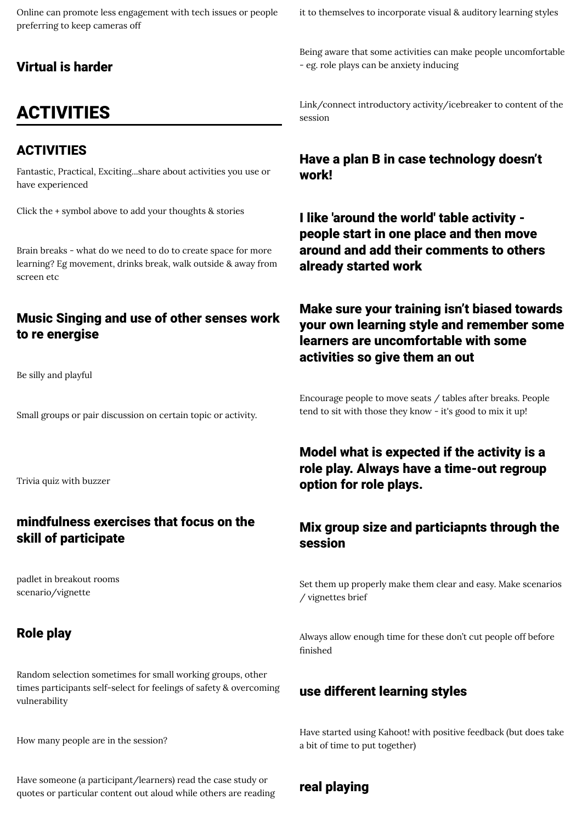Online can promote less engagement with tech issues or people preferring to keep cameras off

#### Virtual is harder

## ACTIVITIES

### ACTIVITIES

Fantastic, Practical, Exciting...share about activities you use or have experienced

Click the + symbol above to add your thoughts & stories

Brain breaks - what do we need to do to create space for more learning? Eg movement, drinks break, walk outside & away from screen etc

#### Music Singing and use of other senses work to re energise

Be silly and playful

Small groups or pair discussion on certain topic or activity.

Trivia quiz with buzzer

### mindfulness exercises that focus on the skill of participate

padlet in breakout rooms scenario/vignette

## Role play

Random selection sometimes for small working groups, other times participants self-select for feelings of safety & overcoming vulnerability

How many people are in the session?

Have someone (a participant/learners) read the case study or quotes or particular content out aloud while others are reading it to themselves to incorporate visual & auditory learning styles

Being aware that some activities can make people uncomfortable - eg. role plays can be anxiety inducing

Link/connect introductory activity/icebreaker to content of the session

#### Have a plan B in case technology doesn't work!

I like 'around the world' table activity people start in one place and then move around and add their comments to others already started work

Make sure your training isn't biased towards your own learning style and remember some learners are uncomfortable with some activities so give them an out

Encourage people to move seats / tables after breaks. People tend to sit with those they know - it's good to mix it up!

### Model what is expected if the activity is a role play. Always have a time-out regroup option for role plays.

### Mix group size and particiapnts through the session

Set them up properly make them clear and easy. Make scenarios / vignettes brief

Always allow enough time for these don't cut people off before finished

#### use different learning styles

Have started using Kahoot! with positive feedback (but does take a bit of time to put together)

#### real playing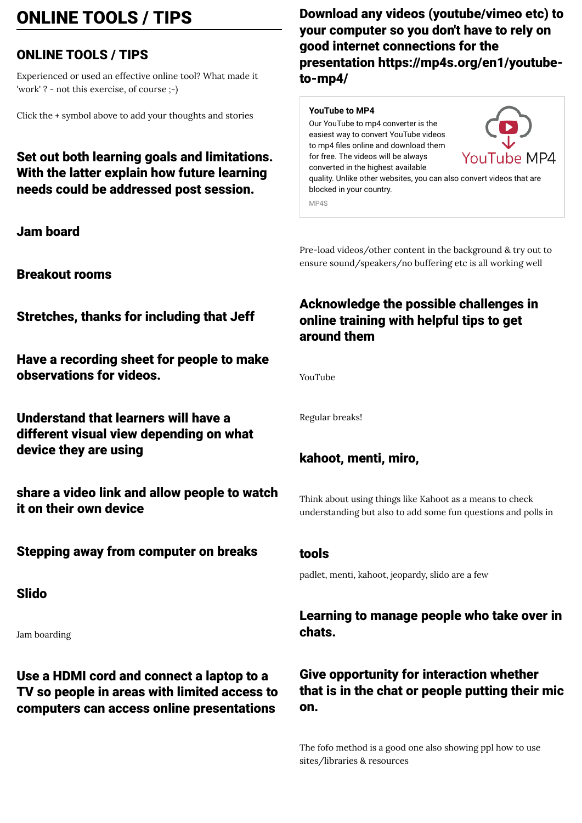# ONLINE TOOLS / TIPS

## ONLINE TOOLS / TIPS

Experienced or used an effective online tool? What made it 'work' ? - not this exercise, of course ;-)

Click the + symbol above to add your thoughts and stories

Set out both learning goals and limitations. With the latter explain how future learning needs could be addressed post session.

Jam board

Breakout rooms

Stretches, thanks for including that Jeff

Have a recording sheet for people to make observations for videos.

Understand that learners will have a different visual view depending on what device they are using

share a video link and allow people to watch it on their own device

Stepping away from computer on breaks

Slido

Jam boarding

Use a HDMI cord and connect a laptop to a TV so people in areas with limited access to computers can access online presentations

Download any videos (youtube/vimeo etc) to your computer so you don't have to rely on good internet connections for the presentation https://mp4s.org/en1/youtubeto-mp4/

#### **[YouTube to MP4](https://mp4s.org/en1/youtube-to-mp4/)**

Our YouTube to mp4 converter is the easiest way to convert YouTube videos to mp4 files online and download them for free. The videos will be always converted in the highest available



quality. Unlike other websites, you can also convert videos that are blocked in your country.

MP4S

Pre-load videos/other content in the background & try out to ensure sound/speakers/no buffering etc is all working well

## Acknowledge the possible challenges in online training with helpful tips to get around them

YouTube

Regular breaks!

## kahoot, menti, miro,

Think about using things like Kahoot as a means to check understanding but also to add some fun questions and polls in

## tools

padlet, menti, kahoot, jeopardy, slido are a few

Learning to manage people who take over in chats.

## Give opportunity for interaction whether that is in the chat or people putting their mic on.

The fofo method is a good one also showing ppl how to use sites/libraries & resources